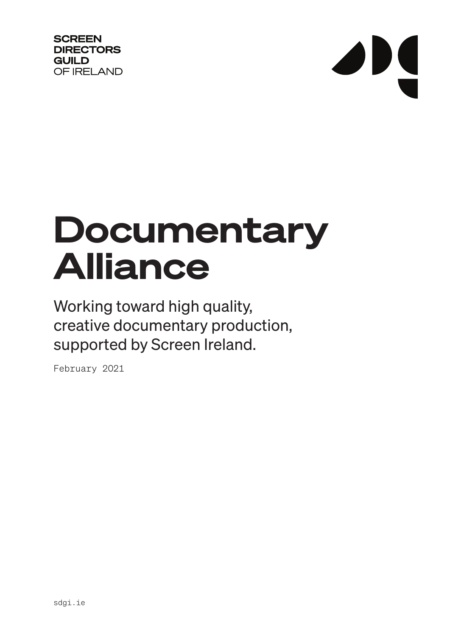**SCREEN DIRECTORS GUILD** OF IRELAND

# JNS

# Documentary Alliance

Working toward high quality, creative documentary production, supported by Screen Ireland.

February 2021